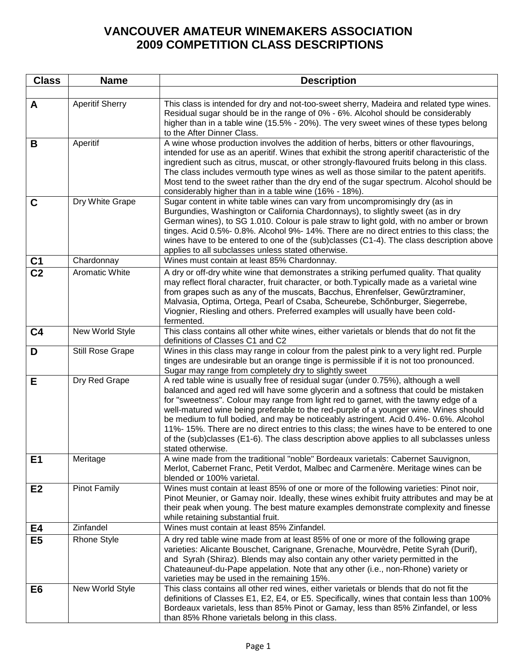## **VANCOUVER AMATEUR WINEMAKERS ASSOCIATION 2009 COMPETITION CLASS DESCRIPTIONS**

| <b>Class</b>   | <b>Name</b>            | <b>Description</b>                                                                                                                                                                                                                                                                                                                                                                                                                                                                                                                                                                                                                                          |
|----------------|------------------------|-------------------------------------------------------------------------------------------------------------------------------------------------------------------------------------------------------------------------------------------------------------------------------------------------------------------------------------------------------------------------------------------------------------------------------------------------------------------------------------------------------------------------------------------------------------------------------------------------------------------------------------------------------------|
|                |                        |                                                                                                                                                                                                                                                                                                                                                                                                                                                                                                                                                                                                                                                             |
| A              | <b>Aperitif Sherry</b> | This class is intended for dry and not-too-sweet sherry, Madeira and related type wines.<br>Residual sugar should be in the range of 0% - 6%. Alcohol should be considerably<br>higher than in a table wine (15.5% - 20%). The very sweet wines of these types belong<br>to the After Dinner Class.                                                                                                                                                                                                                                                                                                                                                         |
| B              | Aperitif               | A wine whose production involves the addition of herbs, bitters or other flavourings,<br>intended for use as an aperitif. Wines that exhibit the strong aperitif characteristic of the<br>ingredient such as citrus, muscat, or other strongly-flavoured fruits belong in this class.<br>The class includes vermouth type wines as well as those similar to the patent aperitifs.<br>Most tend to the sweet rather than the dry end of the sugar spectrum. Alcohol should be<br>considerably higher than in a table wine (16% - 18%).                                                                                                                       |
| $\mathbf C$    | Dry White Grape        | Sugar content in white table wines can vary from uncompromisingly dry (as in<br>Burgundies, Washington or California Chardonnays), to slightly sweet (as in dry<br>German wines), to SG 1.010. Colour is pale straw to light gold, with no amber or brown<br>tinges. Acid 0.5%- 0.8%. Alcohol 9%- 14%. There are no direct entries to this class; the<br>wines have to be entered to one of the (sub)classes (C1-4). The class description above<br>applies to all subclasses unless stated otherwise.                                                                                                                                                      |
| C <sub>1</sub> | Chardonnay             | Wines must contain at least 85% Chardonnay.                                                                                                                                                                                                                                                                                                                                                                                                                                                                                                                                                                                                                 |
| C <sub>2</sub> | <b>Aromatic White</b>  | A dry or off-dry white wine that demonstrates a striking perfumed quality. That quality<br>may reflect floral character, fruit character, or both. Typically made as a varietal wine<br>from grapes such as any of the muscats, Bacchus, Ehrenfelser, Gewürztraminer,<br>Malvasia, Optima, Ortega, Pearl of Csaba, Scheurebe, Schönburger, Siegerrebe,<br>Viognier, Riesling and others. Preferred examples will usually have been cold-<br>fermented.                                                                                                                                                                                                      |
| C <sub>4</sub> | New World Style        | This class contains all other white wines, either varietals or blends that do not fit the<br>definitions of Classes C1 and C2                                                                                                                                                                                                                                                                                                                                                                                                                                                                                                                               |
| D              | Still Rose Grape       | Wines in this class may range in colour from the palest pink to a very light red. Purple<br>tinges are undesirable but an orange tinge is permissible if it is not too pronounced.<br>Sugar may range from completely dry to slightly sweet                                                                                                                                                                                                                                                                                                                                                                                                                 |
| E              | Dry Red Grape          | A red table wine is usually free of residual sugar (under 0.75%), although a well<br>balanced and aged red will have some glycerin and a softness that could be mistaken<br>for "sweetness". Colour may range from light red to garnet, with the tawny edge of a<br>well-matured wine being preferable to the red-purple of a younger wine. Wines should<br>be medium to full bodied, and may be noticeably astringent. Acid 0.4%-0.6%. Alcohol<br>11%-15%. There are no direct entries to this class; the wines have to be entered to one<br>of the (sub)classes (E1-6). The class description above applies to all subclasses unless<br>stated otherwise. |
| E1             | Meritage               | A wine made from the traditional "noble" Bordeaux varietals: Cabernet Sauvignon,<br>Merlot, Cabernet Franc, Petit Verdot, Malbec and Carmenère. Meritage wines can be<br>blended or 100% varietal.                                                                                                                                                                                                                                                                                                                                                                                                                                                          |
| E2             | <b>Pinot Family</b>    | Wines must contain at least 85% of one or more of the following varieties: Pinot noir,<br>Pinot Meunier, or Gamay noir. Ideally, these wines exhibit fruity attributes and may be at<br>their peak when young. The best mature examples demonstrate complexity and finesse<br>while retaining substantial fruit.                                                                                                                                                                                                                                                                                                                                            |
| E4             | Zinfandel              | Wines must contain at least 85% Zinfandel.                                                                                                                                                                                                                                                                                                                                                                                                                                                                                                                                                                                                                  |
| E <sub>5</sub> | <b>Rhone Style</b>     | A dry red table wine made from at least 85% of one or more of the following grape<br>varieties: Alicante Bouschet, Carignane, Grenache, Mourvèdre, Petite Syrah (Durif),<br>and Syrah (Shiraz). Blends may also contain any other variety permitted in the<br>Chateauneuf-du-Pape appelation. Note that any other (i.e., non-Rhone) variety or<br>varieties may be used in the remaining 15%.                                                                                                                                                                                                                                                               |
| E <sub>6</sub> | New World Style        | This class contains all other red wines, either varietals or blends that do not fit the<br>definitions of Classes E1, E2, E4, or E5. Specifically, wines that contain less than 100%<br>Bordeaux varietals, less than 85% Pinot or Gamay, less than 85% Zinfandel, or less<br>than 85% Rhone varietals belong in this class.                                                                                                                                                                                                                                                                                                                                |